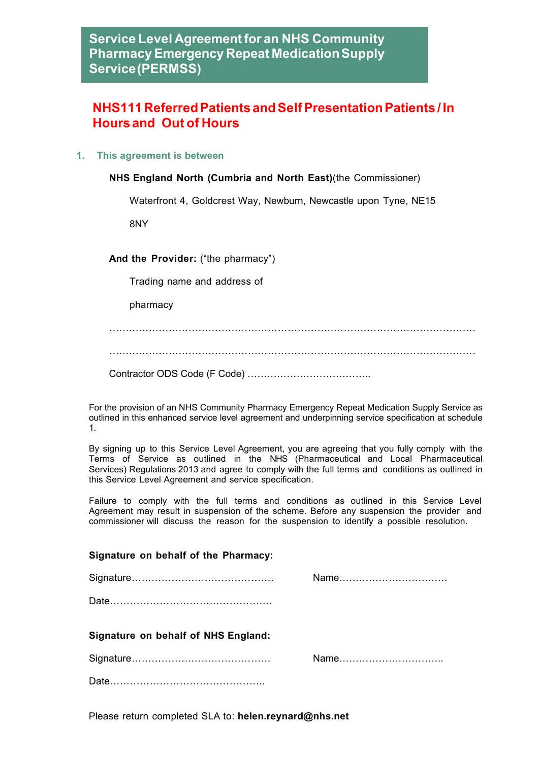## **NHS111ReferredPatients andSelfPresentationPatients / In Hoursand Out of Hours**

**1. This agreement is between**

**NHS England North (Cumbria and North East)**(the Commissioner)

Waterfront 4, Goldcrest Way, Newburn, Newcastle upon Tyne, NE15

8NY

**And the Provider:** ("the pharmacy")

Trading name and address of

pharmacy

…………………………………………………………………………………………………

…………………………………………………………………………………………………

Contractor ODS Code (F Code) ………………………………..

For the provision of an NHS Community Pharmacy Emergency Repeat Medication Supply Service as outlined in this enhanced service level agreement and underpinning service specification at schedule 1.

By signing up to this Service Level Agreement, you are agreeing that you fully comply with the Terms of Service as outlined in the NHS (Pharmaceutical and Local Pharmaceutical Services) Regulations 2013 and agree to comply with the full terms and conditions as outlined in this Service Level Agreement and service specification.

Failure to comply with the full terms and conditions as outlined in this Service Level Agreement may result in suspension of the scheme. Before any suspension the provider and commissioner will discuss the reason for the suspension to identify a possible resolution.

## **Signature on behalf of the Pharmacy:**

|                                     | Name |
|-------------------------------------|------|
|                                     |      |
|                                     |      |
| Signature on behalf of NHS England: |      |
|                                     |      |
|                                     |      |

Please return completed SLA to: **helen.reynard@nhs.net**